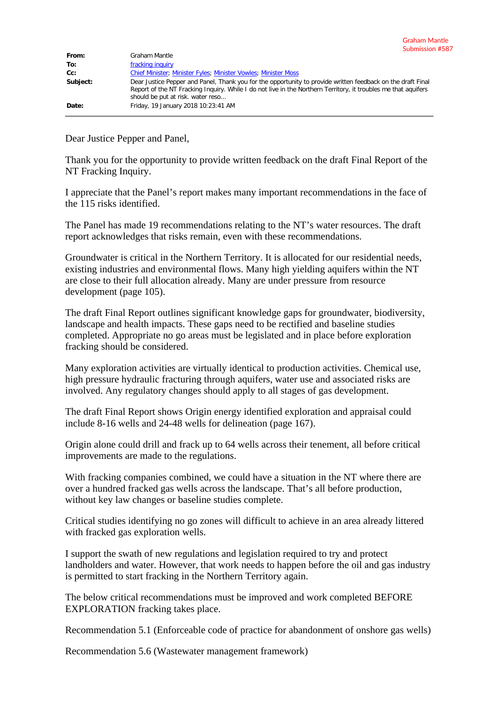| From:    | Graham Mantle                                                                                                                                                                                                                                                      |
|----------|--------------------------------------------------------------------------------------------------------------------------------------------------------------------------------------------------------------------------------------------------------------------|
| To:      | fracking inquiry                                                                                                                                                                                                                                                   |
| $Cc$ :   | <b>Chief Minister: Minister Fyles: Minister Vowles: Minister Moss</b>                                                                                                                                                                                              |
| Subject: | Dear Justice Pepper and Panel, Thank you for the opportunity to provide written feedback on the draft Final<br>Report of the NT Fracking Inquiry. While I do not live in the Northern Territory, it troubles me that aquifers<br>should be put at risk. water reso |
| Date:    | Friday, 19 January 2018 10:23:41 AM                                                                                                                                                                                                                                |

Dear Justice Pepper and Panel,

Thank you for the opportunity to provide written feedback on the draft Final Report of the NT Fracking Inquiry.

I appreciate that the Panel's report makes many important recommendations in the face of the 115 risks identified.

The Panel has made 19 recommendations relating to the NT's water resources. The draft report acknowledges that risks remain, even with these recommendations.

Groundwater is critical in the Northern Territory. It is allocated for our residential needs, existing industries and environmental flows. Many high yielding aquifers within the NT are close to their full allocation already. Many are under pressure from resource development (page 105).

The draft Final Report outlines significant knowledge gaps for groundwater, biodiversity, landscape and health impacts. These gaps need to be rectified and baseline studies completed. Appropriate no go areas must be legislated and in place before exploration fracking should be considered.

Many exploration activities are virtually identical to production activities. Chemical use, high pressure hydraulic fracturing through aquifers, water use and associated risks are involved. Any regulatory changes should apply to all stages of gas development.

The draft Final Report shows Origin energy identified exploration and appraisal could include 8-16 wells and 24-48 wells for delineation (page 167).

Origin alone could drill and frack up to 64 wells across their tenement, all before critical improvements are made to the regulations.

With fracking companies combined, we could have a situation in the NT where there are over a hundred fracked gas wells across the landscape. That's all before production, without key law changes or baseline studies complete.

Critical studies identifying no go zones will difficult to achieve in an area already littered with fracked gas exploration wells.

I support the swath of new regulations and legislation required to try and protect landholders and water. However, that work needs to happen before the oil and gas industry is permitted to start fracking in the Northern Territory again.

The below critical recommendations must be improved and work completed BEFORE EXPLORATION fracking takes place.

Recommendation 5.1 (Enforceable code of practice for abandonment of onshore gas wells)

Recommendation 5.6 (Wastewater management framework)